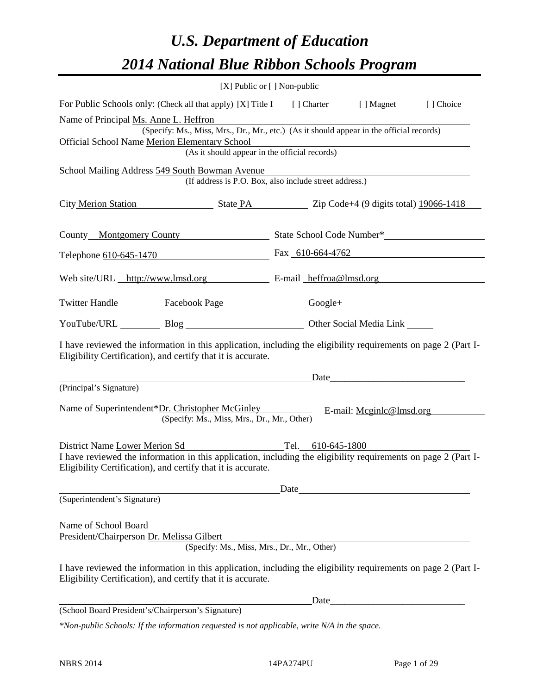# *U.S. Department of Education 2014 National Blue Ribbon Schools Program*

|                                                                                                                                                                                                                                                         | [X] Public or [] Non-public |      |                          |           |
|---------------------------------------------------------------------------------------------------------------------------------------------------------------------------------------------------------------------------------------------------------|-----------------------------|------|--------------------------|-----------|
| For Public Schools only: (Check all that apply) [X] Title I [] Charter [] Magnet                                                                                                                                                                        |                             |      |                          | [] Choice |
| Name of Principal Ms. Anne L. Heffron<br>(Specify: Ms., Miss, Mrs., Dr., Mr., etc.) (As it should appear in the official records)<br>Official School Name Merion Elementary School<br>dementary School<br>(As it should appear in the official records) |                             |      |                          |           |
| School Mailing Address 549 South Bowman Avenue<br>(If address is P.O. Box, also include street address.)                                                                                                                                                |                             |      |                          |           |
| City Merion Station Station Station State PA State PA Zip Code+4 (9 digits total) 19066-1418                                                                                                                                                            |                             |      |                          |           |
| County Montgomery County State School Code Number*                                                                                                                                                                                                      |                             |      |                          |           |
| Telephone 610-645-1470 Fax 610-664-4762                                                                                                                                                                                                                 |                             |      |                          |           |
| Web site/URL http://www.lmsd.org E-mail heffroa@lmsd.org                                                                                                                                                                                                |                             |      |                          |           |
| Twitter Handle ___________ Facebook Page ____________________ Google+ ___________                                                                                                                                                                       |                             |      |                          |           |
| YouTube/URL Blog Blog Discount Other Social Media Link                                                                                                                                                                                                  |                             |      |                          |           |
| I have reviewed the information in this application, including the eligibility requirements on page 2 (Part I-<br>Eligibility Certification), and certify that it is accurate.                                                                          |                             |      |                          |           |
| Date<br>(Principal's Signature)                                                                                                                                                                                                                         |                             |      |                          |           |
| Name of Superintendent*Dr. Christopher McGinley<br>(Specify: Ms., Miss, Mrs., Dr., Mr., Other)                                                                                                                                                          |                             |      | E-mail: Mcginlc@lmsd.org |           |
| Tel. 610-645-1800<br>District Name Lower Merion Sd<br>I have reviewed the information in this application, including the eligibility requirements on page 2 (Part I-<br>Eligibility Certification), and certify that it is accurate.                    |                             |      |                          |           |
|                                                                                                                                                                                                                                                         | Date                        |      |                          |           |
| (Superintendent's Signature)                                                                                                                                                                                                                            |                             |      |                          |           |
| Name of School Board<br>President/Chairperson Dr. Melissa Gilbert<br>(Specify: Ms., Miss, Mrs., Dr., Mr., Other)                                                                                                                                        |                             |      |                          |           |
| I have reviewed the information in this application, including the eligibility requirements on page 2 (Part I-<br>Eligibility Certification), and certify that it is accurate.                                                                          |                             |      |                          |           |
|                                                                                                                                                                                                                                                         |                             | Date |                          |           |
| (School Board President's/Chairperson's Signature)                                                                                                                                                                                                      |                             |      |                          |           |
| *Non-public Schools: If the information requested is not applicable, write N/A in the space.                                                                                                                                                            |                             |      |                          |           |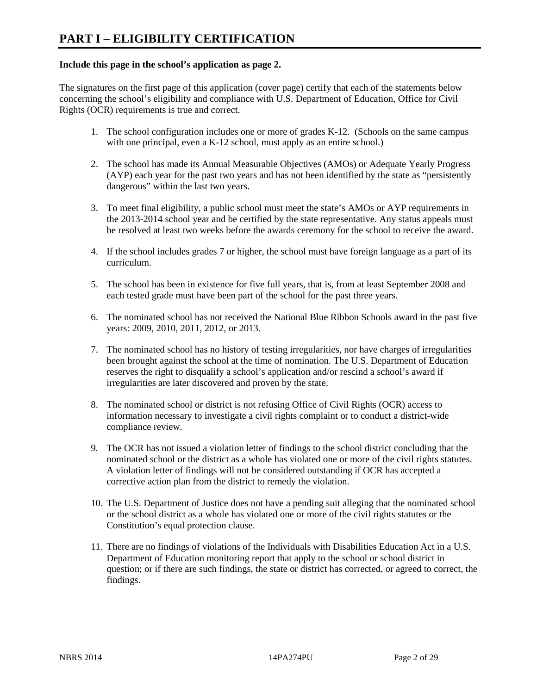#### **Include this page in the school's application as page 2.**

The signatures on the first page of this application (cover page) certify that each of the statements below concerning the school's eligibility and compliance with U.S. Department of Education, Office for Civil Rights (OCR) requirements is true and correct.

- 1. The school configuration includes one or more of grades K-12. (Schools on the same campus with one principal, even a K-12 school, must apply as an entire school.)
- 2. The school has made its Annual Measurable Objectives (AMOs) or Adequate Yearly Progress (AYP) each year for the past two years and has not been identified by the state as "persistently dangerous" within the last two years.
- 3. To meet final eligibility, a public school must meet the state's AMOs or AYP requirements in the 2013-2014 school year and be certified by the state representative. Any status appeals must be resolved at least two weeks before the awards ceremony for the school to receive the award.
- 4. If the school includes grades 7 or higher, the school must have foreign language as a part of its curriculum.
- 5. The school has been in existence for five full years, that is, from at least September 2008 and each tested grade must have been part of the school for the past three years.
- 6. The nominated school has not received the National Blue Ribbon Schools award in the past five years: 2009, 2010, 2011, 2012, or 2013.
- 7. The nominated school has no history of testing irregularities, nor have charges of irregularities been brought against the school at the time of nomination. The U.S. Department of Education reserves the right to disqualify a school's application and/or rescind a school's award if irregularities are later discovered and proven by the state.
- 8. The nominated school or district is not refusing Office of Civil Rights (OCR) access to information necessary to investigate a civil rights complaint or to conduct a district-wide compliance review.
- 9. The OCR has not issued a violation letter of findings to the school district concluding that the nominated school or the district as a whole has violated one or more of the civil rights statutes. A violation letter of findings will not be considered outstanding if OCR has accepted a corrective action plan from the district to remedy the violation.
- 10. The U.S. Department of Justice does not have a pending suit alleging that the nominated school or the school district as a whole has violated one or more of the civil rights statutes or the Constitution's equal protection clause.
- 11. There are no findings of violations of the Individuals with Disabilities Education Act in a U.S. Department of Education monitoring report that apply to the school or school district in question; or if there are such findings, the state or district has corrected, or agreed to correct, the findings.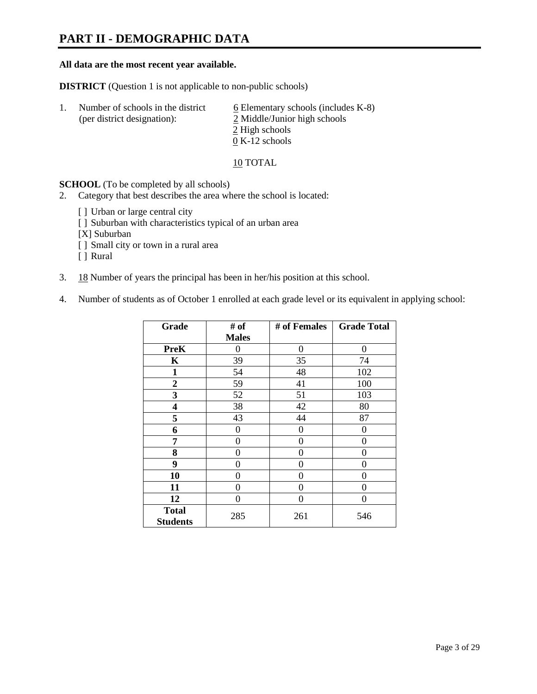# **PART II - DEMOGRAPHIC DATA**

#### **All data are the most recent year available.**

**DISTRICT** (Question 1 is not applicable to non-public schools)

| -1. | Number of schools in the district<br>(per district designation): | $6$ Elementary schools (includes K-8)<br>2 Middle/Junior high schools |  |  |
|-----|------------------------------------------------------------------|-----------------------------------------------------------------------|--|--|
|     |                                                                  | 2 High schools                                                        |  |  |
|     |                                                                  | $0 K-12$ schools                                                      |  |  |

10 TOTAL

**SCHOOL** (To be completed by all schools)

- 2. Category that best describes the area where the school is located:
	- [] Urban or large central city
	- [ ] Suburban with characteristics typical of an urban area
	- [X] Suburban
	- [ ] Small city or town in a rural area
	- [ ] Rural
- 3. 18 Number of years the principal has been in her/his position at this school.
- 4. Number of students as of October 1 enrolled at each grade level or its equivalent in applying school:

| Grade                           | # of         | # of Females | <b>Grade Total</b> |
|---------------------------------|--------------|--------------|--------------------|
|                                 | <b>Males</b> |              |                    |
| <b>PreK</b>                     | 0            | $\theta$     | $\Omega$           |
| K                               | 39           | 35           | 74                 |
| $\mathbf{1}$                    | 54           | 48           | 102                |
| $\mathbf{2}$                    | 59           | 41           | 100                |
| 3                               | 52           | 51           | 103                |
| 4                               | 38           | 42           | 80                 |
| 5                               | 43           | 44           | 87                 |
| 6                               | 0            | 0            | $\theta$           |
| 7                               | 0            | $\theta$     | 0                  |
| 8                               | 0            | 0            | 0                  |
| 9                               | 0            | $\theta$     | 0                  |
| 10                              | 0            | $\Omega$     | 0                  |
| 11                              | 0            | 0            | 0                  |
| 12                              | 0            | 0            | 0                  |
| <b>Total</b><br><b>Students</b> | 285          | 261          | 546                |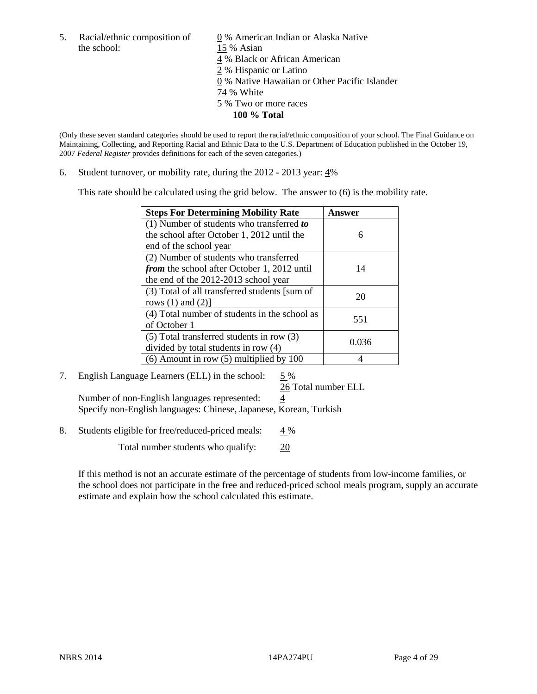the school: 15 % Asian

5. Racial/ethnic composition of  $\qquad \qquad \underline{0}$  % American Indian or Alaska Native 4 % Black or African American 2 % Hispanic or Latino 0 % Native Hawaiian or Other Pacific Islander 74 % White 5 % Two or more races **100 % Total**

(Only these seven standard categories should be used to report the racial/ethnic composition of your school. The Final Guidance on Maintaining, Collecting, and Reporting Racial and Ethnic Data to the U.S. Department of Education published in the October 19, 2007 *Federal Register* provides definitions for each of the seven categories.)

6. Student turnover, or mobility rate, during the 2012 - 2013 year: 4%

This rate should be calculated using the grid below. The answer to (6) is the mobility rate.

| <b>Steps For Determining Mobility Rate</b>         | Answer |
|----------------------------------------------------|--------|
| (1) Number of students who transferred to          |        |
| the school after October 1, 2012 until the         | 6      |
| end of the school year                             |        |
| (2) Number of students who transferred             |        |
| <i>from</i> the school after October 1, 2012 until | 14     |
| the end of the 2012-2013 school year               |        |
| (3) Total of all transferred students [sum of      | 20     |
| rows $(1)$ and $(2)$ ]                             |        |
| (4) Total number of students in the school as      | 551    |
| of October 1                                       |        |
| (5) Total transferred students in row (3)          | 0.036  |
| divided by total students in row (4)               |        |
| $(6)$ Amount in row $(5)$ multiplied by 100        |        |

## 7. English Language Learners (ELL) in the school: 5 %

26 Total number ELL Number of non-English languages represented:  $\frac{4}{3}$ Specify non-English languages: Chinese, Japanese, Korean, Turkish

8. Students eligible for free/reduced-priced meals: 4 %

Total number students who qualify: 20

If this method is not an accurate estimate of the percentage of students from low-income families, or the school does not participate in the free and reduced-priced school meals program, supply an accurate estimate and explain how the school calculated this estimate.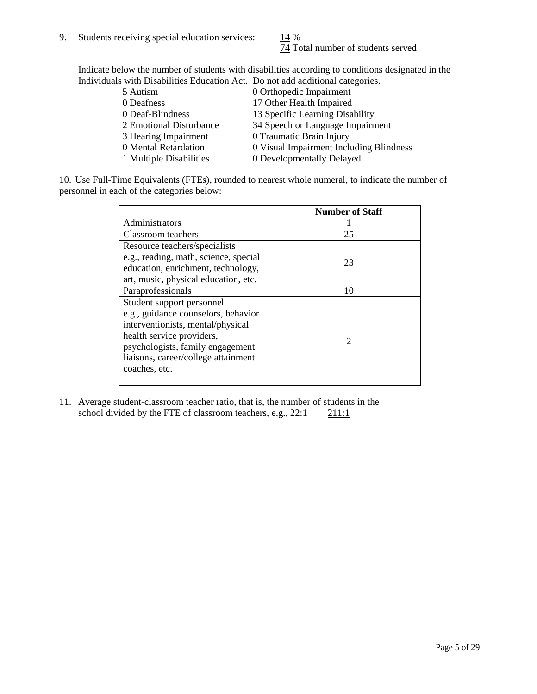74 Total number of students served

Indicate below the number of students with disabilities according to conditions designated in the Individuals with Disabilities Education Act. Do not add additional categories.

| 5 Autism                | 0 Orthopedic Impairment                 |
|-------------------------|-----------------------------------------|
| 0 Deafness              | 17 Other Health Impaired                |
| 0 Deaf-Blindness        | 13 Specific Learning Disability         |
| 2 Emotional Disturbance | 34 Speech or Language Impairment        |
| 3 Hearing Impairment    | 0 Traumatic Brain Injury                |
| 0 Mental Retardation    | 0 Visual Impairment Including Blindness |
| 1 Multiple Disabilities | 0 Developmentally Delayed               |
|                         |                                         |

10. Use Full-Time Equivalents (FTEs), rounded to nearest whole numeral, to indicate the number of personnel in each of the categories below:

|                                       | <b>Number of Staff</b> |
|---------------------------------------|------------------------|
| Administrators                        |                        |
| Classroom teachers                    | 25                     |
| Resource teachers/specialists         |                        |
| e.g., reading, math, science, special | 23                     |
| education, enrichment, technology,    |                        |
| art, music, physical education, etc.  |                        |
| Paraprofessionals                     | 10                     |
| Student support personnel             |                        |
| e.g., guidance counselors, behavior   |                        |
| interventionists, mental/physical     |                        |
| health service providers,             | 2                      |
| psychologists, family engagement      |                        |
| liaisons, career/college attainment   |                        |
| coaches, etc.                         |                        |
|                                       |                        |

11. Average student-classroom teacher ratio, that is, the number of students in the school divided by the FTE of classroom teachers, e.g.,  $22:1$  211:1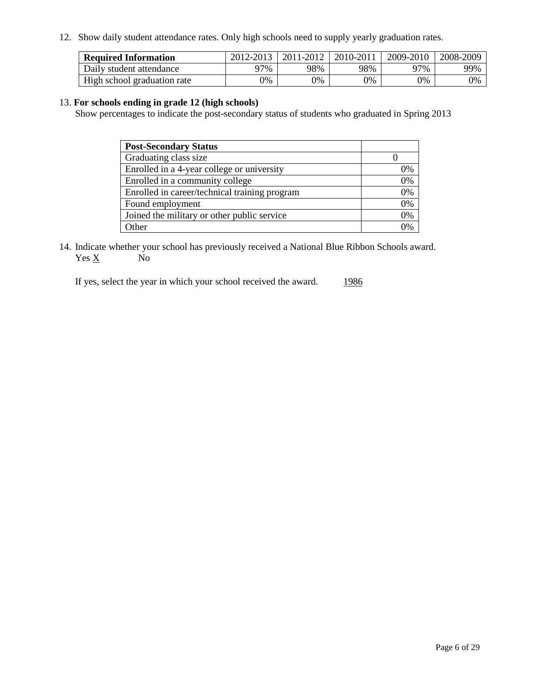12. Show daily student attendance rates. Only high schools need to supply yearly graduation rates.

| <b>Required Information</b> | 2012-2013 | 2011-2012 | 2010-2011 | 2009-2010 | 2008-2009 |
|-----------------------------|-----------|-----------|-----------|-----------|-----------|
| Daily student attendance    | 77%       | 98%       | 98%       | 97%       | 99%       |
| High school graduation rate | 0%        | 9%        | 0%        | 0%        | 0%        |

#### 13. **For schools ending in grade 12 (high schools)**

Show percentages to indicate the post-secondary status of students who graduated in Spring 2013

| <b>Post-Secondary Status</b>                  |          |
|-----------------------------------------------|----------|
| Graduating class size                         |          |
| Enrolled in a 4-year college or university    | 0%       |
| Enrolled in a community college               | 0%       |
| Enrolled in career/technical training program | 0%       |
| Found employment                              | 0%       |
| Joined the military or other public service   | 0%       |
| . Other                                       | $\gamma$ |

14. Indicate whether your school has previously received a National Blue Ribbon Schools award.  $Yes \underline{X}$  No

If yes, select the year in which your school received the award. 1986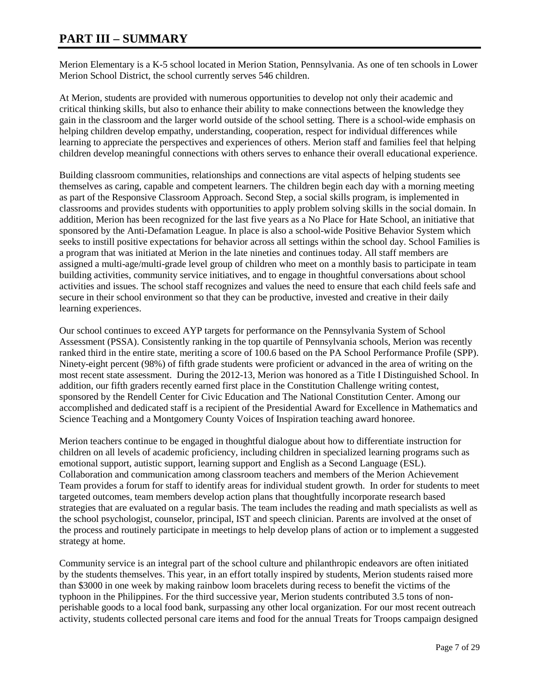## **PART III – SUMMARY**

Merion Elementary is a K-5 school located in Merion Station, Pennsylvania. As one of ten schools in Lower Merion School District, the school currently serves 546 children.

At Merion, students are provided with numerous opportunities to develop not only their academic and critical thinking skills, but also to enhance their ability to make connections between the knowledge they gain in the classroom and the larger world outside of the school setting. There is a school-wide emphasis on helping children develop empathy, understanding, cooperation, respect for individual differences while learning to appreciate the perspectives and experiences of others. Merion staff and families feel that helping children develop meaningful connections with others serves to enhance their overall educational experience.

Building classroom communities, relationships and connections are vital aspects of helping students see themselves as caring, capable and competent learners. The children begin each day with a morning meeting as part of the Responsive Classroom Approach. Second Step, a social skills program, is implemented in classrooms and provides students with opportunities to apply problem solving skills in the social domain. In addition, Merion has been recognized for the last five years as a No Place for Hate School, an initiative that sponsored by the Anti-Defamation League. In place is also a school-wide Positive Behavior System which seeks to instill positive expectations for behavior across all settings within the school day. School Families is a program that was initiated at Merion in the late nineties and continues today. All staff members are assigned a multi-age/multi-grade level group of children who meet on a monthly basis to participate in team building activities, community service initiatives, and to engage in thoughtful conversations about school activities and issues. The school staff recognizes and values the need to ensure that each child feels safe and secure in their school environment so that they can be productive, invested and creative in their daily learning experiences.

Our school continues to exceed AYP targets for performance on the Pennsylvania System of School Assessment (PSSA). Consistently ranking in the top quartile of Pennsylvania schools, Merion was recently ranked third in the entire state, meriting a score of 100.6 based on the PA School Performance Profile (SPP). Ninety-eight percent (98%) of fifth grade students were proficient or advanced in the area of writing on the most recent state assessment. During the 2012-13, Merion was honored as a Title I Distinguished School. In addition, our fifth graders recently earned first place in the Constitution Challenge writing contest, sponsored by the Rendell Center for Civic Education and The National Constitution Center. Among our accomplished and dedicated staff is a recipient of the Presidential Award for Excellence in Mathematics and Science Teaching and a Montgomery County Voices of Inspiration teaching award honoree.

Merion teachers continue to be engaged in thoughtful dialogue about how to differentiate instruction for children on all levels of academic proficiency, including children in specialized learning programs such as emotional support, autistic support, learning support and English as a Second Language (ESL). Collaboration and communication among classroom teachers and members of the Merion Achievement Team provides a forum for staff to identify areas for individual student growth. In order for students to meet targeted outcomes, team members develop action plans that thoughtfully incorporate research based strategies that are evaluated on a regular basis. The team includes the reading and math specialists as well as the school psychologist, counselor, principal, IST and speech clinician. Parents are involved at the onset of the process and routinely participate in meetings to help develop plans of action or to implement a suggested strategy at home.

Community service is an integral part of the school culture and philanthropic endeavors are often initiated by the students themselves. This year, in an effort totally inspired by students, Merion students raised more than \$3000 in one week by making rainbow loom bracelets during recess to benefit the victims of the typhoon in the Philippines. For the third successive year, Merion students contributed 3.5 tons of nonperishable goods to a local food bank, surpassing any other local organization. For our most recent outreach activity, students collected personal care items and food for the annual Treats for Troops campaign designed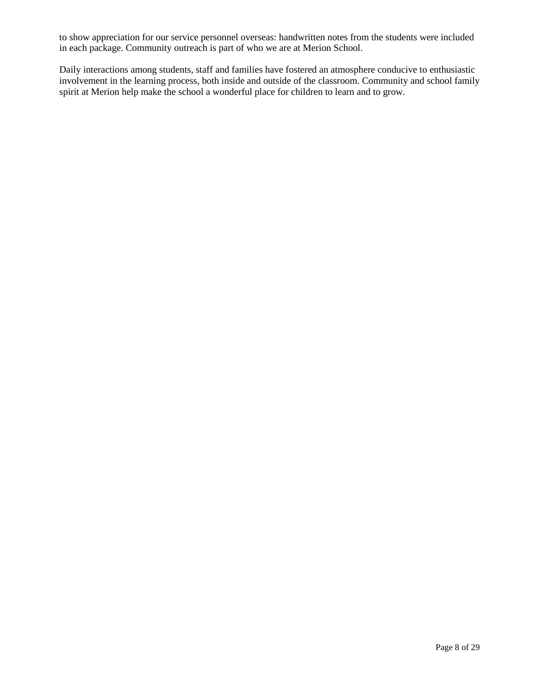to show appreciation for our service personnel overseas: handwritten notes from the students were included in each package. Community outreach is part of who we are at Merion School.

Daily interactions among students, staff and families have fostered an atmosphere conducive to enthusiastic involvement in the learning process, both inside and outside of the classroom. Community and school family spirit at Merion help make the school a wonderful place for children to learn and to grow.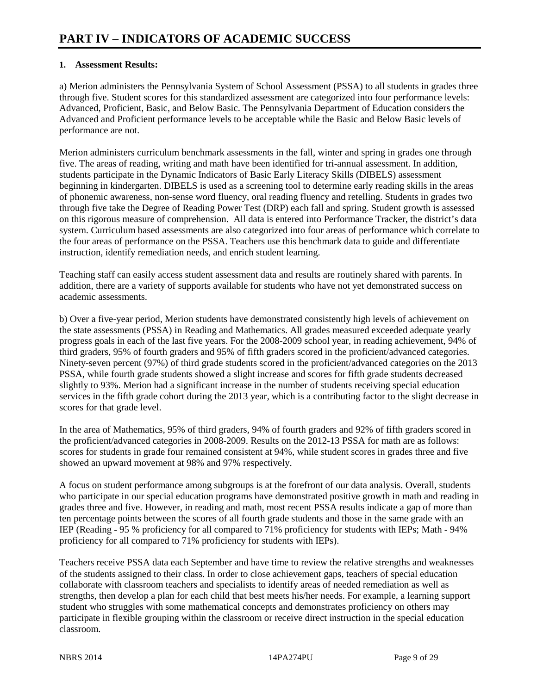#### **1. Assessment Results:**

a) Merion administers the Pennsylvania System of School Assessment (PSSA) to all students in grades three through five. Student scores for this standardized assessment are categorized into four performance levels: Advanced, Proficient, Basic, and Below Basic. The Pennsylvania Department of Education considers the Advanced and Proficient performance levels to be acceptable while the Basic and Below Basic levels of performance are not.

Merion administers curriculum benchmark assessments in the fall, winter and spring in grades one through five. The areas of reading, writing and math have been identified for tri-annual assessment. In addition, students participate in the Dynamic Indicators of Basic Early Literacy Skills (DIBELS) assessment beginning in kindergarten. DIBELS is used as a screening tool to determine early reading skills in the areas of phonemic awareness, non-sense word fluency, oral reading fluency and retelling. Students in grades two through five take the Degree of Reading Power Test (DRP) each fall and spring. Student growth is assessed on this rigorous measure of comprehension. All data is entered into Performance Tracker, the district's data system. Curriculum based assessments are also categorized into four areas of performance which correlate to the four areas of performance on the PSSA. Teachers use this benchmark data to guide and differentiate instruction, identify remediation needs, and enrich student learning.

Teaching staff can easily access student assessment data and results are routinely shared with parents. In addition, there are a variety of supports available for students who have not yet demonstrated success on academic assessments.

b) Over a five-year period, Merion students have demonstrated consistently high levels of achievement on the state assessments (PSSA) in Reading and Mathematics. All grades measured exceeded adequate yearly progress goals in each of the last five years. For the 2008-2009 school year, in reading achievement, 94% of third graders, 95% of fourth graders and 95% of fifth graders scored in the proficient/advanced categories. Ninety-seven percent (97%) of third grade students scored in the proficient/advanced categories on the 2013 PSSA, while fourth grade students showed a slight increase and scores for fifth grade students decreased slightly to 93%. Merion had a significant increase in the number of students receiving special education services in the fifth grade cohort during the 2013 year, which is a contributing factor to the slight decrease in scores for that grade level.

In the area of Mathematics, 95% of third graders, 94% of fourth graders and 92% of fifth graders scored in the proficient/advanced categories in 2008-2009. Results on the 2012-13 PSSA for math are as follows: scores for students in grade four remained consistent at 94%, while student scores in grades three and five showed an upward movement at 98% and 97% respectively.

A focus on student performance among subgroups is at the forefront of our data analysis. Overall, students who participate in our special education programs have demonstrated positive growth in math and reading in grades three and five. However, in reading and math, most recent PSSA results indicate a gap of more than ten percentage points between the scores of all fourth grade students and those in the same grade with an IEP (Reading - 95 % proficiency for all compared to 71% proficiency for students with IEPs; Math - 94% proficiency for all compared to 71% proficiency for students with IEPs).

Teachers receive PSSA data each September and have time to review the relative strengths and weaknesses of the students assigned to their class. In order to close achievement gaps, teachers of special education collaborate with classroom teachers and specialists to identify areas of needed remediation as well as strengths, then develop a plan for each child that best meets his/her needs. For example, a learning support student who struggles with some mathematical concepts and demonstrates proficiency on others may participate in flexible grouping within the classroom or receive direct instruction in the special education classroom.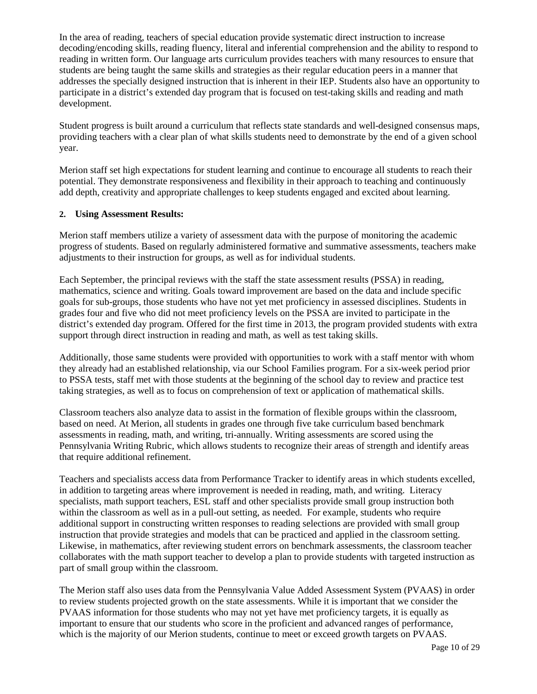In the area of reading, teachers of special education provide systematic direct instruction to increase decoding/encoding skills, reading fluency, literal and inferential comprehension and the ability to respond to reading in written form. Our language arts curriculum provides teachers with many resources to ensure that students are being taught the same skills and strategies as their regular education peers in a manner that addresses the specially designed instruction that is inherent in their IEP. Students also have an opportunity to participate in a district's extended day program that is focused on test-taking skills and reading and math development.

Student progress is built around a curriculum that reflects state standards and well-designed consensus maps, providing teachers with a clear plan of what skills students need to demonstrate by the end of a given school year.

Merion staff set high expectations for student learning and continue to encourage all students to reach their potential. They demonstrate responsiveness and flexibility in their approach to teaching and continuously add depth, creativity and appropriate challenges to keep students engaged and excited about learning.

#### **2. Using Assessment Results:**

Merion staff members utilize a variety of assessment data with the purpose of monitoring the academic progress of students. Based on regularly administered formative and summative assessments, teachers make adjustments to their instruction for groups, as well as for individual students.

Each September, the principal reviews with the staff the state assessment results (PSSA) in reading, mathematics, science and writing. Goals toward improvement are based on the data and include specific goals for sub-groups, those students who have not yet met proficiency in assessed disciplines. Students in grades four and five who did not meet proficiency levels on the PSSA are invited to participate in the district's extended day program. Offered for the first time in 2013, the program provided students with extra support through direct instruction in reading and math, as well as test taking skills.

Additionally, those same students were provided with opportunities to work with a staff mentor with whom they already had an established relationship, via our School Families program. For a six-week period prior to PSSA tests, staff met with those students at the beginning of the school day to review and practice test taking strategies, as well as to focus on comprehension of text or application of mathematical skills.

Classroom teachers also analyze data to assist in the formation of flexible groups within the classroom, based on need. At Merion, all students in grades one through five take curriculum based benchmark assessments in reading, math, and writing, tri-annually. Writing assessments are scored using the Pennsylvania Writing Rubric, which allows students to recognize their areas of strength and identify areas that require additional refinement.

Teachers and specialists access data from Performance Tracker to identify areas in which students excelled, in addition to targeting areas where improvement is needed in reading, math, and writing. Literacy specialists, math support teachers, ESL staff and other specialists provide small group instruction both within the classroom as well as in a pull-out setting, as needed. For example, students who require additional support in constructing written responses to reading selections are provided with small group instruction that provide strategies and models that can be practiced and applied in the classroom setting. Likewise, in mathematics, after reviewing student errors on benchmark assessments, the classroom teacher collaborates with the math support teacher to develop a plan to provide students with targeted instruction as part of small group within the classroom.

The Merion staff also uses data from the Pennsylvania Value Added Assessment System (PVAAS) in order to review students projected growth on the state assessments. While it is important that we consider the PVAAS information for those students who may not yet have met proficiency targets, it is equally as important to ensure that our students who score in the proficient and advanced ranges of performance, which is the majority of our Merion students, continue to meet or exceed growth targets on PVAAS.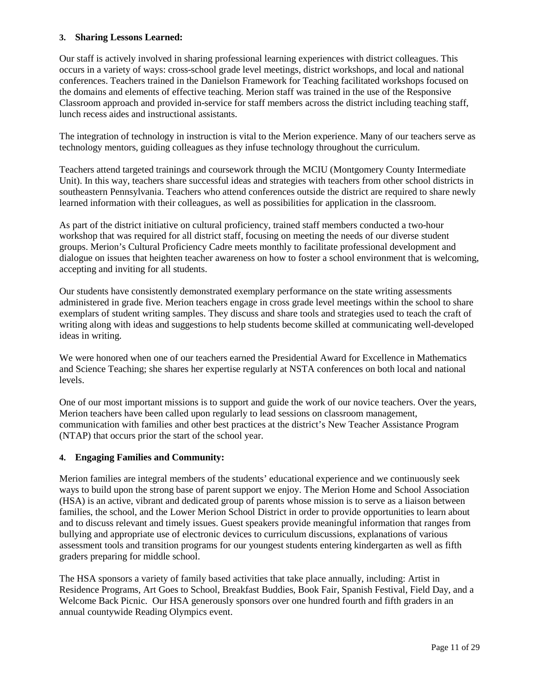#### **3. Sharing Lessons Learned:**

Our staff is actively involved in sharing professional learning experiences with district colleagues. This occurs in a variety of ways: cross-school grade level meetings, district workshops, and local and national conferences. Teachers trained in the Danielson Framework for Teaching facilitated workshops focused on the domains and elements of effective teaching. Merion staff was trained in the use of the Responsive Classroom approach and provided in-service for staff members across the district including teaching staff, lunch recess aides and instructional assistants.

The integration of technology in instruction is vital to the Merion experience. Many of our teachers serve as technology mentors, guiding colleagues as they infuse technology throughout the curriculum.

Teachers attend targeted trainings and coursework through the MCIU (Montgomery County Intermediate Unit). In this way, teachers share successful ideas and strategies with teachers from other school districts in southeastern Pennsylvania. Teachers who attend conferences outside the district are required to share newly learned information with their colleagues, as well as possibilities for application in the classroom.

As part of the district initiative on cultural proficiency, trained staff members conducted a two-hour workshop that was required for all district staff, focusing on meeting the needs of our diverse student groups. Merion's Cultural Proficiency Cadre meets monthly to facilitate professional development and dialogue on issues that heighten teacher awareness on how to foster a school environment that is welcoming, accepting and inviting for all students.

Our students have consistently demonstrated exemplary performance on the state writing assessments administered in grade five. Merion teachers engage in cross grade level meetings within the school to share exemplars of student writing samples. They discuss and share tools and strategies used to teach the craft of writing along with ideas and suggestions to help students become skilled at communicating well-developed ideas in writing.

We were honored when one of our teachers earned the Presidential Award for Excellence in Mathematics and Science Teaching; she shares her expertise regularly at NSTA conferences on both local and national levels.

One of our most important missions is to support and guide the work of our novice teachers. Over the years, Merion teachers have been called upon regularly to lead sessions on classroom management, communication with families and other best practices at the district's New Teacher Assistance Program (NTAP) that occurs prior the start of the school year.

#### **4. Engaging Families and Community:**

Merion families are integral members of the students' educational experience and we continuously seek ways to build upon the strong base of parent support we enjoy. The Merion Home and School Association (HSA) is an active, vibrant and dedicated group of parents whose mission is to serve as a liaison between families, the school, and the Lower Merion School District in order to provide opportunities to learn about and to discuss relevant and timely issues. Guest speakers provide meaningful information that ranges from bullying and appropriate use of electronic devices to curriculum discussions, explanations of various assessment tools and transition programs for our youngest students entering kindergarten as well as fifth graders preparing for middle school.

The HSA sponsors a variety of family based activities that take place annually, including: Artist in Residence Programs, Art Goes to School, Breakfast Buddies, Book Fair, Spanish Festival, Field Day, and a Welcome Back Picnic. Our HSA generously sponsors over one hundred fourth and fifth graders in an annual countywide Reading Olympics event.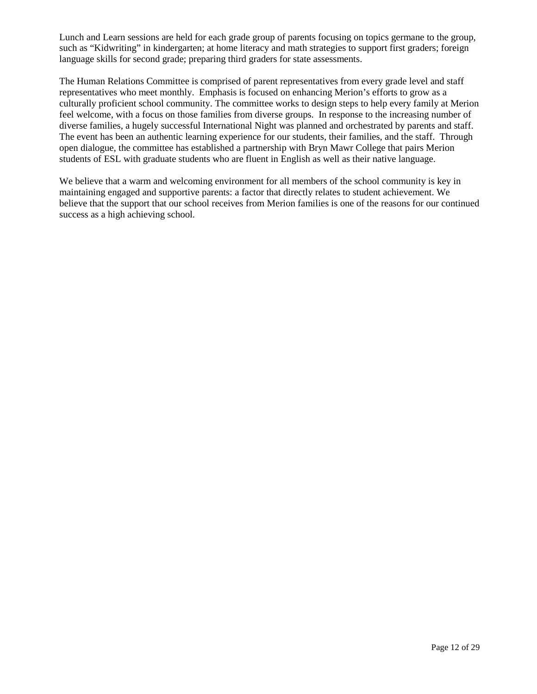Lunch and Learn sessions are held for each grade group of parents focusing on topics germane to the group, such as "Kidwriting" in kindergarten; at home literacy and math strategies to support first graders; foreign language skills for second grade; preparing third graders for state assessments.

The Human Relations Committee is comprised of parent representatives from every grade level and staff representatives who meet monthly. Emphasis is focused on enhancing Merion's efforts to grow as a culturally proficient school community. The committee works to design steps to help every family at Merion feel welcome, with a focus on those families from diverse groups. In response to the increasing number of diverse families, a hugely successful International Night was planned and orchestrated by parents and staff. The event has been an authentic learning experience for our students, their families, and the staff. Through open dialogue, the committee has established a partnership with Bryn Mawr College that pairs Merion students of ESL with graduate students who are fluent in English as well as their native language.

We believe that a warm and welcoming environment for all members of the school community is key in maintaining engaged and supportive parents: a factor that directly relates to student achievement. We believe that the support that our school receives from Merion families is one of the reasons for our continued success as a high achieving school.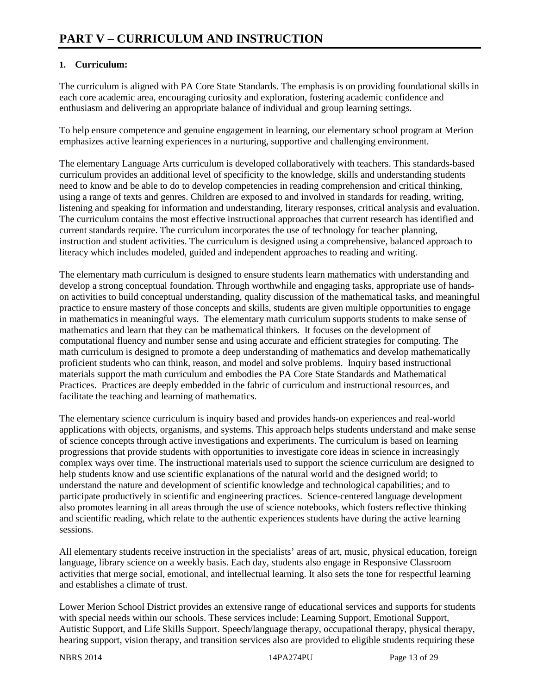## **1. Curriculum:**

The curriculum is aligned with PA Core State Standards. The emphasis is on providing foundational skills in each core academic area, encouraging curiosity and exploration, fostering academic confidence and enthusiasm and delivering an appropriate balance of individual and group learning settings.

To help ensure competence and genuine engagement in learning, our elementary school program at Merion emphasizes active learning experiences in a nurturing, supportive and challenging environment.

The elementary Language Arts curriculum is developed collaboratively with teachers. This standards-based curriculum provides an additional level of specificity to the knowledge, skills and understanding students need to know and be able to do to develop competencies in reading comprehension and critical thinking, using a range of texts and genres. Children are exposed to and involved in standards for reading, writing, listening and speaking for information and understanding, literary responses, critical analysis and evaluation. The curriculum contains the most effective instructional approaches that current research has identified and current standards require. The curriculum incorporates the use of technology for teacher planning, instruction and student activities. The curriculum is designed using a comprehensive, balanced approach to literacy which includes modeled, guided and independent approaches to reading and writing.

The elementary math curriculum is designed to ensure students learn mathematics with understanding and develop a strong conceptual foundation. Through worthwhile and engaging tasks, appropriate use of handson activities to build conceptual understanding, quality discussion of the mathematical tasks, and meaningful practice to ensure mastery of those concepts and skills, students are given multiple opportunities to engage in mathematics in meaningful ways. The elementary math curriculum supports students to make sense of mathematics and learn that they can be mathematical thinkers. It focuses on the development of computational fluency and number sense and using accurate and efficient strategies for computing. The math curriculum is designed to promote a deep understanding of mathematics and develop mathematically proficient students who can think, reason, and model and solve problems. Inquiry based instructional materials support the math curriculum and embodies the PA Core State Standards and Mathematical Practices. Practices are deeply embedded in the fabric of curriculum and instructional resources, and facilitate the teaching and learning of mathematics.

The elementary science curriculum is inquiry based and provides hands-on experiences and real-world applications with objects, organisms, and systems. This approach helps students understand and make sense of science concepts through active investigations and experiments. The curriculum is based on learning progressions that provide students with opportunities to investigate core ideas in science in increasingly complex ways over time. The instructional materials used to support the science curriculum are designed to help students know and use scientific explanations of the natural world and the designed world; to understand the nature and development of scientific knowledge and technological capabilities; and to participate productively in scientific and engineering practices. Science-centered language development also promotes learning in all areas through the use of science notebooks, which fosters reflective thinking and scientific reading, which relate to the authentic experiences students have during the active learning sessions.

All elementary students receive instruction in the specialists' areas of art, music, physical education, foreign language, library science on a weekly basis. Each day, students also engage in Responsive Classroom activities that merge social, emotional, and intellectual learning. It also sets the tone for respectful learning and establishes a climate of trust.

Lower Merion School District provides an extensive range of educational services and supports for students with special needs within our schools. These services include: Learning Support, Emotional Support, Autistic Support, and Life Skills Support. Speech/language therapy, occupational therapy, physical therapy, hearing support, vision therapy, and transition services also are provided to eligible students requiring these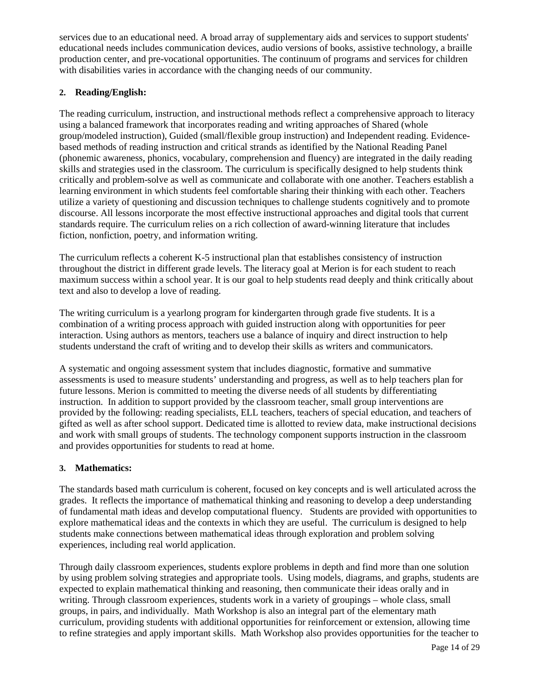services due to an educational need. A broad array of supplementary aids and services to support students' educational needs includes communication devices, audio versions of books, assistive technology, a braille production center, and pre-vocational opportunities. The continuum of programs and services for children with disabilities varies in accordance with the changing needs of our community.

#### **2. Reading/English:**

The reading curriculum, instruction, and instructional methods reflect a comprehensive approach to literacy using a balanced framework that incorporates reading and writing approaches of Shared (whole group/modeled instruction), Guided (small/flexible group instruction) and Independent reading. Evidencebased methods of reading instruction and critical strands as identified by the National Reading Panel (phonemic awareness, phonics, vocabulary, comprehension and fluency) are integrated in the daily reading skills and strategies used in the classroom. The curriculum is specifically designed to help students think critically and problem-solve as well as communicate and collaborate with one another. Teachers establish a learning environment in which students feel comfortable sharing their thinking with each other. Teachers utilize a variety of questioning and discussion techniques to challenge students cognitively and to promote discourse. All lessons incorporate the most effective instructional approaches and digital tools that current standards require. The curriculum relies on a rich collection of award-winning literature that includes fiction, nonfiction, poetry, and information writing.

The curriculum reflects a coherent K-5 instructional plan that establishes consistency of instruction throughout the district in different grade levels. The literacy goal at Merion is for each student to reach maximum success within a school year. It is our goal to help students read deeply and think critically about text and also to develop a love of reading.

The writing curriculum is a yearlong program for kindergarten through grade five students. It is a combination of a writing process approach with guided instruction along with opportunities for peer interaction. Using authors as mentors, teachers use a balance of inquiry and direct instruction to help students understand the craft of writing and to develop their skills as writers and communicators.

A systematic and ongoing assessment system that includes diagnostic, formative and summative assessments is used to measure students' understanding and progress, as well as to help teachers plan for future lessons. Merion is committed to meeting the diverse needs of all students by differentiating instruction. In addition to support provided by the classroom teacher, small group interventions are provided by the following: reading specialists, ELL teachers, teachers of special education, and teachers of gifted as well as after school support. Dedicated time is allotted to review data, make instructional decisions and work with small groups of students. The technology component supports instruction in the classroom and provides opportunities for students to read at home.

#### **3. Mathematics:**

The standards based math curriculum is coherent, focused on key concepts and is well articulated across the grades. It reflects the importance of mathematical thinking and reasoning to develop a deep understanding of fundamental math ideas and develop computational fluency. Students are provided with opportunities to explore mathematical ideas and the contexts in which they are useful. The curriculum is designed to help students make connections between mathematical ideas through exploration and problem solving experiences, including real world application.

Through daily classroom experiences, students explore problems in depth and find more than one solution by using problem solving strategies and appropriate tools. Using models, diagrams, and graphs, students are expected to explain mathematical thinking and reasoning, then communicate their ideas orally and in writing. Through classroom experiences, students work in a variety of groupings – whole class, small groups, in pairs, and individually. Math Workshop is also an integral part of the elementary math curriculum, providing students with additional opportunities for reinforcement or extension, allowing time to refine strategies and apply important skills. Math Workshop also provides opportunities for the teacher to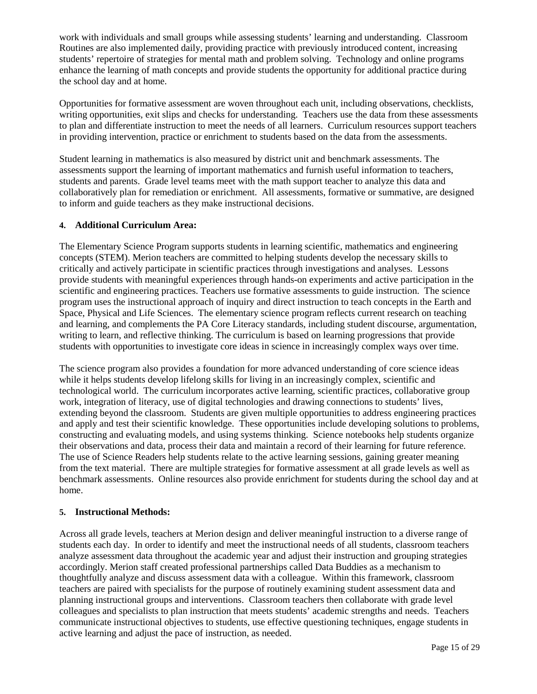work with individuals and small groups while assessing students' learning and understanding. Classroom Routines are also implemented daily, providing practice with previously introduced content, increasing students' repertoire of strategies for mental math and problem solving. Technology and online programs enhance the learning of math concepts and provide students the opportunity for additional practice during the school day and at home.

Opportunities for formative assessment are woven throughout each unit, including observations, checklists, writing opportunities, exit slips and checks for understanding. Teachers use the data from these assessments to plan and differentiate instruction to meet the needs of all learners. Curriculum resources support teachers in providing intervention, practice or enrichment to students based on the data from the assessments.

Student learning in mathematics is also measured by district unit and benchmark assessments. The assessments support the learning of important mathematics and furnish useful information to teachers, students and parents. Grade level teams meet with the math support teacher to analyze this data and collaboratively plan for remediation or enrichment. All assessments, formative or summative, are designed to inform and guide teachers as they make instructional decisions.

#### **4. Additional Curriculum Area:**

The Elementary Science Program supports students in learning scientific, mathematics and engineering concepts (STEM). Merion teachers are committed to helping students develop the necessary skills to critically and actively participate in scientific practices through investigations and analyses. Lessons provide students with meaningful experiences through hands-on experiments and active participation in the scientific and engineering practices. Teachers use formative assessments to guide instruction. The science program uses the instructional approach of inquiry and direct instruction to teach concepts in the Earth and Space, Physical and Life Sciences. The elementary science program reflects current research on teaching and learning, and complements the PA Core Literacy standards, including student discourse, argumentation, writing to learn, and reflective thinking. The curriculum is based on learning progressions that provide students with opportunities to investigate core ideas in science in increasingly complex ways over time.

The science program also provides a foundation for more advanced understanding of core science ideas while it helps students develop lifelong skills for living in an increasingly complex, scientific and technological world. The curriculum incorporates active learning, scientific practices, collaborative group work, integration of literacy, use of digital technologies and drawing connections to students' lives, extending beyond the classroom. Students are given multiple opportunities to address engineering practices and apply and test their scientific knowledge. These opportunities include developing solutions to problems, constructing and evaluating models, and using systems thinking. Science notebooks help students organize their observations and data, process their data and maintain a record of their learning for future reference. The use of Science Readers help students relate to the active learning sessions, gaining greater meaning from the text material. There are multiple strategies for formative assessment at all grade levels as well as benchmark assessments. Online resources also provide enrichment for students during the school day and at home.

#### **5. Instructional Methods:**

Across all grade levels, teachers at Merion design and deliver meaningful instruction to a diverse range of students each day. In order to identify and meet the instructional needs of all students, classroom teachers analyze assessment data throughout the academic year and adjust their instruction and grouping strategies accordingly. Merion staff created professional partnerships called Data Buddies as a mechanism to thoughtfully analyze and discuss assessment data with a colleague. Within this framework, classroom teachers are paired with specialists for the purpose of routinely examining student assessment data and planning instructional groups and interventions. Classroom teachers then collaborate with grade level colleagues and specialists to plan instruction that meets students' academic strengths and needs. Teachers communicate instructional objectives to students, use effective questioning techniques, engage students in active learning and adjust the pace of instruction, as needed.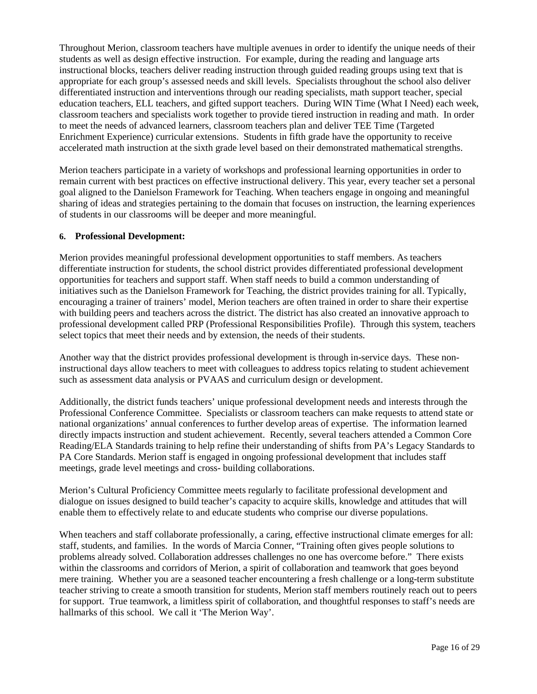Throughout Merion, classroom teachers have multiple avenues in order to identify the unique needs of their students as well as design effective instruction. For example, during the reading and language arts instructional blocks, teachers deliver reading instruction through guided reading groups using text that is appropriate for each group's assessed needs and skill levels. Specialists throughout the school also deliver differentiated instruction and interventions through our reading specialists, math support teacher, special education teachers, ELL teachers, and gifted support teachers. During WIN Time (What I Need) each week, classroom teachers and specialists work together to provide tiered instruction in reading and math. In order to meet the needs of advanced learners, classroom teachers plan and deliver TEE Time (Targeted Enrichment Experience) curricular extensions. Students in fifth grade have the opportunity to receive accelerated math instruction at the sixth grade level based on their demonstrated mathematical strengths.

Merion teachers participate in a variety of workshops and professional learning opportunities in order to remain current with best practices on effective instructional delivery. This year, every teacher set a personal goal aligned to the Danielson Framework for Teaching. When teachers engage in ongoing and meaningful sharing of ideas and strategies pertaining to the domain that focuses on instruction, the learning experiences of students in our classrooms will be deeper and more meaningful.

#### **6. Professional Development:**

Merion provides meaningful professional development opportunities to staff members. As teachers differentiate instruction for students, the school district provides differentiated professional development opportunities for teachers and support staff. When staff needs to build a common understanding of initiatives such as the Danielson Framework for Teaching, the district provides training for all. Typically, encouraging a trainer of trainers' model, Merion teachers are often trained in order to share their expertise with building peers and teachers across the district. The district has also created an innovative approach to professional development called PRP (Professional Responsibilities Profile). Through this system, teachers select topics that meet their needs and by extension, the needs of their students.

Another way that the district provides professional development is through in-service days. These noninstructional days allow teachers to meet with colleagues to address topics relating to student achievement such as assessment data analysis or PVAAS and curriculum design or development.

Additionally, the district funds teachers' unique professional development needs and interests through the Professional Conference Committee. Specialists or classroom teachers can make requests to attend state or national organizations' annual conferences to further develop areas of expertise. The information learned directly impacts instruction and student achievement. Recently, several teachers attended a Common Core Reading/ELA Standards training to help refine their understanding of shifts from PA's Legacy Standards to PA Core Standards. Merion staff is engaged in ongoing professional development that includes staff meetings, grade level meetings and cross- building collaborations.

Merion's Cultural Proficiency Committee meets regularly to facilitate professional development and dialogue on issues designed to build teacher's capacity to acquire skills, knowledge and attitudes that will enable them to effectively relate to and educate students who comprise our diverse populations.

When teachers and staff collaborate professionally, a caring, effective instructional climate emerges for all: staff, students, and families. In the words of Marcia Conner, "Training often gives people solutions to problems already solved. Collaboration addresses challenges no one has overcome before." There exists within the classrooms and corridors of Merion, a spirit of collaboration and teamwork that goes beyond mere training. Whether you are a seasoned teacher encountering a fresh challenge or a long-term substitute teacher striving to create a smooth transition for students, Merion staff members routinely reach out to peers for support. True teamwork, a limitless spirit of collaboration, and thoughtful responses to staff's needs are hallmarks of this school. We call it 'The Merion Way'.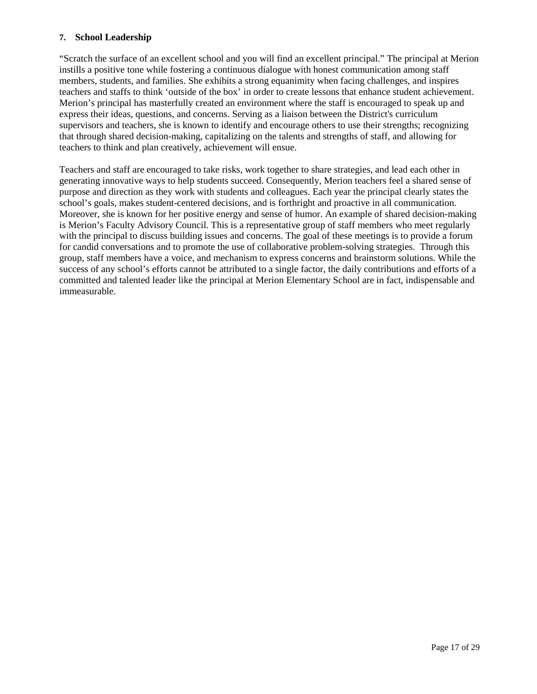#### **7. School Leadership**

"Scratch the surface of an excellent school and you will find an excellent principal." The principal at Merion instills a positive tone while fostering a continuous dialogue with honest communication among staff members, students, and families. She exhibits a strong equanimity when facing challenges, and inspires teachers and staffs to think 'outside of the box' in order to create lessons that enhance student achievement. Merion's principal has masterfully created an environment where the staff is encouraged to speak up and express their ideas, questions, and concerns. Serving as a liaison between the District's curriculum supervisors and teachers, she is known to identify and encourage others to use their strengths; recognizing that through shared decision-making, capitalizing on the talents and strengths of staff, and allowing for teachers to think and plan creatively, achievement will ensue.

Teachers and staff are encouraged to take risks, work together to share strategies, and lead each other in generating innovative ways to help students succeed. Consequently, Merion teachers feel a shared sense of purpose and direction as they work with students and colleagues. Each year the principal clearly states the school's goals, makes student-centered decisions, and is forthright and proactive in all communication. Moreover, she is known for her positive energy and sense of humor. An example of shared decision-making is Merion's Faculty Advisory Council. This is a representative group of staff members who meet regularly with the principal to discuss building issues and concerns. The goal of these meetings is to provide a forum for candid conversations and to promote the use of collaborative problem-solving strategies. Through this group, staff members have a voice, and mechanism to express concerns and brainstorm solutions. While the success of any school's efforts cannot be attributed to a single factor, the daily contributions and efforts of a committed and talented leader like the principal at Merion Elementary School are in fact, indispensable and immeasurable.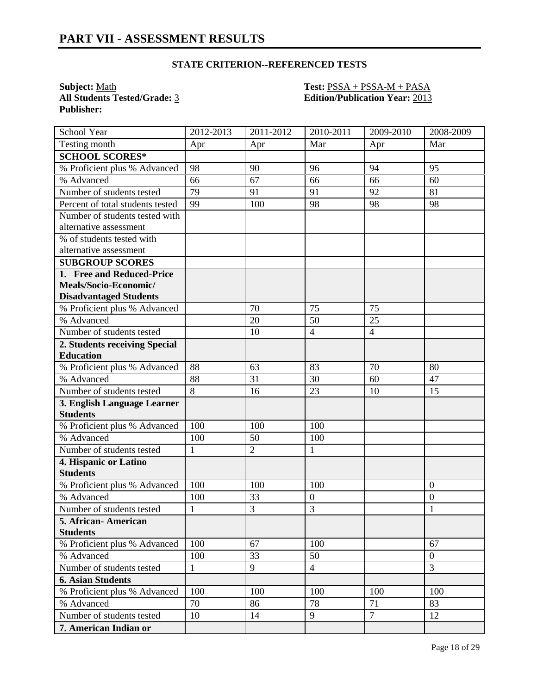**All Students Tested/Grade: 3 Publisher:** 

**Subject:** <u>Math **Test:** PSSA + PSSA-M + PASA</u><br> **All Students Tested/Grade:** 3 **Edition/Publication Year:** 2013

| School Year                      | 2012-2013    | 2011-2012      | $2010 - 2011$  | 2009-2010      | 2008-2009        |
|----------------------------------|--------------|----------------|----------------|----------------|------------------|
| Testing month                    | Apr          | Apr            | Mar            | Apr            | Mar              |
| <b>SCHOOL SCORES*</b>            |              |                |                |                |                  |
| % Proficient plus % Advanced     | 98           | 90             | 96             | 94             | 95               |
| % Advanced                       | 66           | 67             | 66             | 66             | 60               |
| Number of students tested        | 79           | 91             | 91             | 92             | 81               |
| Percent of total students tested | 99           | 100            | 98             | 98             | 98               |
| Number of students tested with   |              |                |                |                |                  |
| alternative assessment           |              |                |                |                |                  |
| % of students tested with        |              |                |                |                |                  |
| alternative assessment           |              |                |                |                |                  |
| <b>SUBGROUP SCORES</b>           |              |                |                |                |                  |
| 1. Free and Reduced-Price        |              |                |                |                |                  |
| Meals/Socio-Economic/            |              |                |                |                |                  |
| <b>Disadvantaged Students</b>    |              |                |                |                |                  |
| % Proficient plus % Advanced     |              | 70             | 75             | 75             |                  |
| % Advanced                       |              | 20             | 50             | 25             |                  |
| Number of students tested        |              | 10             | $\overline{4}$ | $\overline{4}$ |                  |
| 2. Students receiving Special    |              |                |                |                |                  |
| <b>Education</b>                 |              |                |                |                |                  |
| % Proficient plus % Advanced     | 88           | 63             | 83             | 70             | 80               |
| % Advanced                       | 88           | 31             | 30             | 60             | 47               |
| Number of students tested        | 8            | 16             | 23             | 10             | 15               |
| 3. English Language Learner      |              |                |                |                |                  |
| <b>Students</b>                  |              |                |                |                |                  |
| % Proficient plus % Advanced     | 100          | 100            | 100            |                |                  |
| % Advanced                       | 100          | 50             | 100            |                |                  |
| Number of students tested        | $\mathbf{1}$ | $\overline{2}$ | $\mathbf{1}$   |                |                  |
| 4. Hispanic or Latino            |              |                |                |                |                  |
| <b>Students</b>                  |              |                |                |                |                  |
| % Proficient plus % Advanced     | 100          | 100            | 100            |                | $\boldsymbol{0}$ |
| % Advanced                       | 100          | 33             | $\overline{0}$ |                | $\overline{0}$   |
| Number of students tested        | $\mathbf{1}$ | $\overline{3}$ | 3              |                | $\mathbf{1}$     |
| 5. African-American              |              |                |                |                |                  |
| <b>Students</b>                  |              |                |                |                |                  |
| % Proficient plus % Advanced     | 100          | 67             | 100            |                | 67               |
| % Advanced                       | 100          | 33             | 50             |                | $\overline{0}$   |
| Number of students tested        | $\mathbf 1$  | 9              | $\overline{4}$ |                | $\overline{3}$   |
| <b>6. Asian Students</b>         |              |                |                |                |                  |
| % Proficient plus % Advanced     | 100          | 100            | 100            | 100            | 100              |
| % Advanced                       | 70           | 86             | 78             | 71             | 83               |
| Number of students tested        | 10           | 14             | 9              | $\overline{7}$ | 12               |
| 7. American Indian or            |              |                |                |                |                  |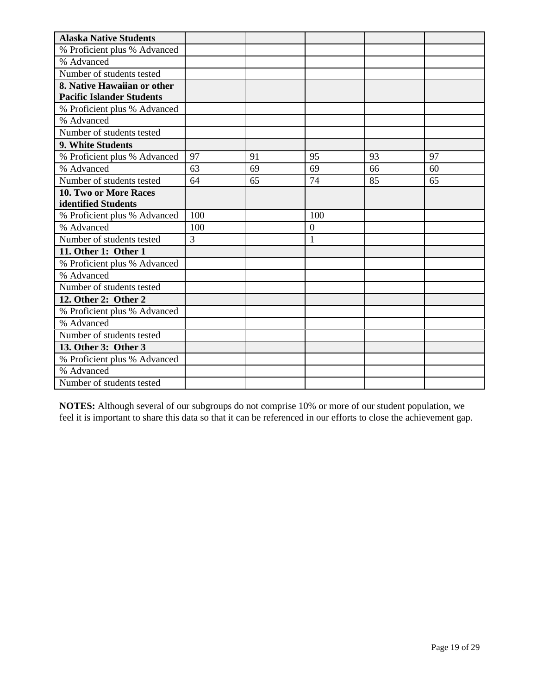| <b>Alaska Native Students</b>    |     |    |                |    |    |
|----------------------------------|-----|----|----------------|----|----|
| % Proficient plus % Advanced     |     |    |                |    |    |
| % Advanced                       |     |    |                |    |    |
| Number of students tested        |     |    |                |    |    |
| 8. Native Hawaiian or other      |     |    |                |    |    |
| <b>Pacific Islander Students</b> |     |    |                |    |    |
| % Proficient plus % Advanced     |     |    |                |    |    |
| % Advanced                       |     |    |                |    |    |
| Number of students tested        |     |    |                |    |    |
| 9. White Students                |     |    |                |    |    |
| % Proficient plus % Advanced     | 97  | 91 | 95             | 93 | 97 |
| % Advanced                       | 63  | 69 | 69             | 66 | 60 |
| Number of students tested        | 64  | 65 | 74             | 85 | 65 |
| <b>10. Two or More Races</b>     |     |    |                |    |    |
| identified Students              |     |    |                |    |    |
| % Proficient plus % Advanced     | 100 |    | 100            |    |    |
| % Advanced                       | 100 |    | $\overline{0}$ |    |    |
| Number of students tested        | 3   |    | $\mathbf{1}$   |    |    |
| 11. Other 1: Other 1             |     |    |                |    |    |
| % Proficient plus % Advanced     |     |    |                |    |    |
| % Advanced                       |     |    |                |    |    |
| Number of students tested        |     |    |                |    |    |
| 12. Other 2: Other 2             |     |    |                |    |    |
| % Proficient plus % Advanced     |     |    |                |    |    |
| % Advanced                       |     |    |                |    |    |
| Number of students tested        |     |    |                |    |    |
| 13. Other 3: Other 3             |     |    |                |    |    |
| % Proficient plus % Advanced     |     |    |                |    |    |
| % Advanced                       |     |    |                |    |    |
| Number of students tested        |     |    |                |    |    |

**NOTES:** Although several of our subgroups do not comprise 10% or more of our student population, we feel it is important to share this data so that it can be referenced in our efforts to close the achievement gap.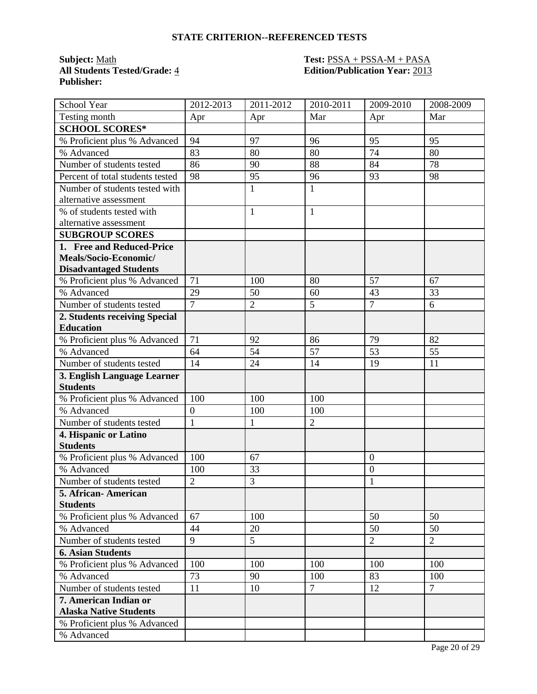**All Students Tested/Grade:** 4 **Edition/Publication Year:** 2013 **Publisher:** 

# **Subject:** Math **Test:** PSSA + PSSA-M + PASA

| School Year                      | 2012-2013        | 2011-2012      | 2010-2011      | 2009-2010        | 2008-2009      |
|----------------------------------|------------------|----------------|----------------|------------------|----------------|
| Testing month                    | Apr              | Apr            | Mar            | Apr              | Mar            |
| <b>SCHOOL SCORES*</b>            |                  |                |                |                  |                |
| % Proficient plus % Advanced     | 94               | 97             | 96             | 95               | 95             |
| % Advanced                       | 83               | 80             | 80             | 74               | 80             |
| Number of students tested        | 86               | 90             | 88             | 84               | 78             |
| Percent of total students tested | 98               | 95             | 96             | 93               | 98             |
| Number of students tested with   |                  | $\mathbf{1}$   | $\mathbf{1}$   |                  |                |
| alternative assessment           |                  |                |                |                  |                |
| % of students tested with        |                  | $\mathbf{1}$   | $\mathbf{1}$   |                  |                |
| alternative assessment           |                  |                |                |                  |                |
| <b>SUBGROUP SCORES</b>           |                  |                |                |                  |                |
| 1. Free and Reduced-Price        |                  |                |                |                  |                |
| Meals/Socio-Economic/            |                  |                |                |                  |                |
| <b>Disadvantaged Students</b>    |                  |                |                |                  |                |
| % Proficient plus % Advanced     | 71               | 100            | 80             | 57               | 67             |
| % Advanced                       | 29               | 50             | 60             | 43               | 33             |
| Number of students tested        | $\overline{7}$   | $\overline{2}$ | 5              | $\overline{7}$   | 6              |
| 2. Students receiving Special    |                  |                |                |                  |                |
| <b>Education</b>                 |                  |                |                |                  |                |
| % Proficient plus % Advanced     | 71               | 92             | 86             | 79               | 82             |
| % Advanced                       | 64               | 54             | 57             | $\overline{53}$  | 55             |
| Number of students tested        | 14               | 24             | 14             | 19               | 11             |
| 3. English Language Learner      |                  |                |                |                  |                |
| <b>Students</b>                  |                  |                |                |                  |                |
| % Proficient plus % Advanced     | 100              | 100            | 100            |                  |                |
| % Advanced                       | $\boldsymbol{0}$ | 100            | 100            |                  |                |
| Number of students tested        | $\mathbf{1}$     | $\mathbf{1}$   | $\overline{2}$ |                  |                |
| 4. Hispanic or Latino            |                  |                |                |                  |                |
| <b>Students</b>                  |                  |                |                |                  |                |
| % Proficient plus % Advanced     | 100              | 67             |                | $\overline{0}$   |                |
| % Advanced                       | 100              | 33             |                | $\boldsymbol{0}$ |                |
| Number of students tested        | $\overline{2}$   | 3              |                | 1                |                |
| 5. African-American              |                  |                |                |                  |                |
| <b>Students</b>                  |                  |                |                |                  |                |
| % Proficient plus % Advanced     | 67               | 100            |                | 50               | 50             |
| % Advanced                       | 44               | 20             |                | 50               | 50             |
| Number of students tested        | 9                | 5              |                | $\overline{2}$   | $\overline{2}$ |
| <b>6. Asian Students</b>         |                  |                |                |                  |                |
| % Proficient plus % Advanced     | 100              | 100            | 100            | 100              | 100            |
| % Advanced                       | 73               | 90             | 100            | 83               | 100            |
| Number of students tested        | 11               | 10             | $\overline{7}$ | 12               | $\overline{7}$ |
| 7. American Indian or            |                  |                |                |                  |                |
| <b>Alaska Native Students</b>    |                  |                |                |                  |                |
| % Proficient plus % Advanced     |                  |                |                |                  |                |
| % Advanced                       |                  |                |                |                  |                |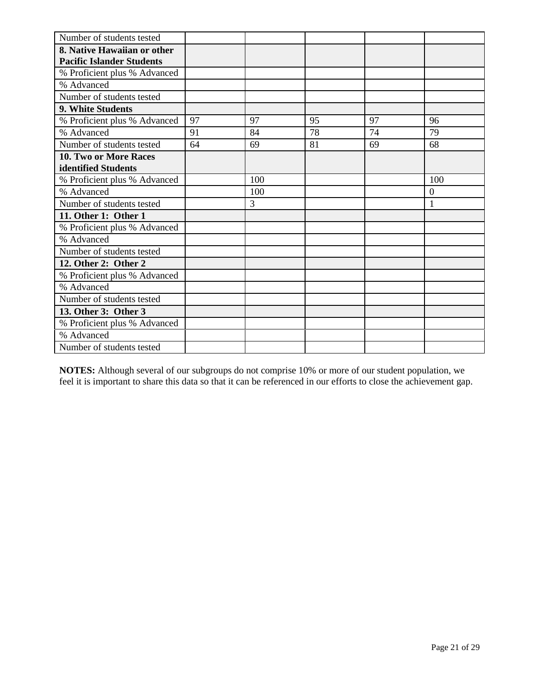| Number of students tested        |    |     |    |    |                |
|----------------------------------|----|-----|----|----|----------------|
| 8. Native Hawaiian or other      |    |     |    |    |                |
| <b>Pacific Islander Students</b> |    |     |    |    |                |
| % Proficient plus % Advanced     |    |     |    |    |                |
| % Advanced                       |    |     |    |    |                |
| Number of students tested        |    |     |    |    |                |
| 9. White Students                |    |     |    |    |                |
| % Proficient plus % Advanced     | 97 | 97  | 95 | 97 | 96             |
| % Advanced                       | 91 | 84  | 78 | 74 | 79             |
| Number of students tested        | 64 | 69  | 81 | 69 | 68             |
| 10. Two or More Races            |    |     |    |    |                |
| identified Students              |    |     |    |    |                |
| % Proficient plus % Advanced     |    | 100 |    |    | 100            |
| % Advanced                       |    | 100 |    |    | $\overline{0}$ |
| Number of students tested        |    | 3   |    |    | $\mathbf{1}$   |
| 11. Other 1: Other 1             |    |     |    |    |                |
| % Proficient plus % Advanced     |    |     |    |    |                |
| % Advanced                       |    |     |    |    |                |
| Number of students tested        |    |     |    |    |                |
| 12. Other 2: Other 2             |    |     |    |    |                |
| % Proficient plus % Advanced     |    |     |    |    |                |
| % Advanced                       |    |     |    |    |                |
| Number of students tested        |    |     |    |    |                |
| 13. Other 3: Other 3             |    |     |    |    |                |
| % Proficient plus % Advanced     |    |     |    |    |                |
| % Advanced                       |    |     |    |    |                |
| Number of students tested        |    |     |    |    |                |

**NOTES:** Although several of our subgroups do not comprise 10% or more of our student population, we feel it is important to share this data so that it can be referenced in our efforts to close the achievement gap.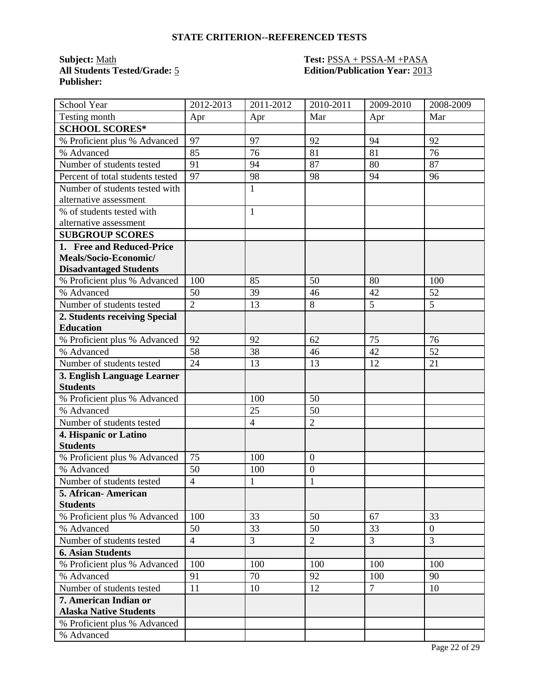**Subject:** <u>Math</u><br> **All Students Tested/Grade:** 5 **Test: PSSA + PSSA-M +PASA**<br> **Edition/Publication Year:** 2013 **Publisher:** 

# **All Students Tested/Grade:** 5 **Edition/Publication Year:** 2013

| School Year                                      | 2012-2013            | 2011-2012      | 2010-2011        | 2009-2010      | 2008-2009      |
|--------------------------------------------------|----------------------|----------------|------------------|----------------|----------------|
| Testing month                                    | Apr                  | Apr            | Mar              | Apr            | Mar            |
| <b>SCHOOL SCORES*</b>                            |                      |                |                  |                |                |
| % Proficient plus % Advanced                     | 97                   | 97             | 92               | 94             | 92             |
| % Advanced                                       | 85                   | 76             | 81               | 81             | 76             |
| Number of students tested                        | 91                   | 94             | 87               | 80             | 87             |
| Percent of total students tested                 | 97                   | 98             | 98               | 94             | 96             |
| Number of students tested with                   |                      | $\mathbf{1}$   |                  |                |                |
| alternative assessment                           |                      |                |                  |                |                |
| % of students tested with                        |                      | $\mathbf{1}$   |                  |                |                |
| alternative assessment                           |                      |                |                  |                |                |
| <b>SUBGROUP SCORES</b>                           |                      |                |                  |                |                |
| 1. Free and Reduced-Price                        |                      |                |                  |                |                |
| Meals/Socio-Economic/                            |                      |                |                  |                |                |
| <b>Disadvantaged Students</b>                    |                      |                |                  |                |                |
| % Proficient plus % Advanced                     | 100                  | 85             | 50               | 80             | 100            |
| % Advanced                                       | 50                   | 39             | 46               | 42             | 52             |
| Number of students tested                        | $\overline{2}$       | 13             | 8                | 5              | 5              |
| 2. Students receiving Special                    |                      |                |                  |                |                |
| <b>Education</b>                                 |                      |                |                  |                |                |
| % Proficient plus % Advanced                     | 92                   | 92             | 62               | 75             | 76             |
| % Advanced                                       | 58                   | 38             | 46               | 42             | 52             |
| Number of students tested                        | 24                   | 13             | 13               | 12             | 21             |
| 3. English Language Learner                      |                      |                |                  |                |                |
| <b>Students</b>                                  |                      |                |                  |                |                |
| % Proficient plus % Advanced                     |                      | 100            | 50               |                |                |
| % Advanced                                       |                      | 25             | 50               |                |                |
| Number of students tested                        |                      | $\overline{4}$ | $\overline{2}$   |                |                |
| 4. Hispanic or Latino<br><b>Students</b>         |                      |                |                  |                |                |
|                                                  | 75                   | 100            | $\overline{0}$   |                |                |
| % Proficient plus % Advanced<br>% Advanced       |                      |                |                  |                |                |
|                                                  | 50<br>$\overline{4}$ | 100            | $\boldsymbol{0}$ |                |                |
| Number of students tested<br>5. African-American |                      | 1              | $\mathbf{1}$     |                |                |
| <b>Students</b>                                  |                      |                |                  |                |                |
| % Proficient plus % Advanced                     | 100                  | 33             | 50               | 67             | 33             |
| % Advanced                                       | 50                   | 33             | 50               | 33             | $\overline{0}$ |
| Number of students tested                        | $\overline{4}$       | 3              | $\overline{2}$   | $\overline{3}$ | 3              |
| <b>6. Asian Students</b>                         |                      |                |                  |                |                |
| % Proficient plus % Advanced                     | 100                  | 100            | 100              | 100            | 100            |
| % Advanced                                       | 91                   | 70             | 92               | 100            | 90             |
| Number of students tested                        | 11                   | 10             | 12               | $\overline{7}$ | 10             |
| 7. American Indian or                            |                      |                |                  |                |                |
| <b>Alaska Native Students</b>                    |                      |                |                  |                |                |
| % Proficient plus % Advanced                     |                      |                |                  |                |                |
| % Advanced                                       |                      |                |                  |                |                |
|                                                  |                      |                |                  |                |                |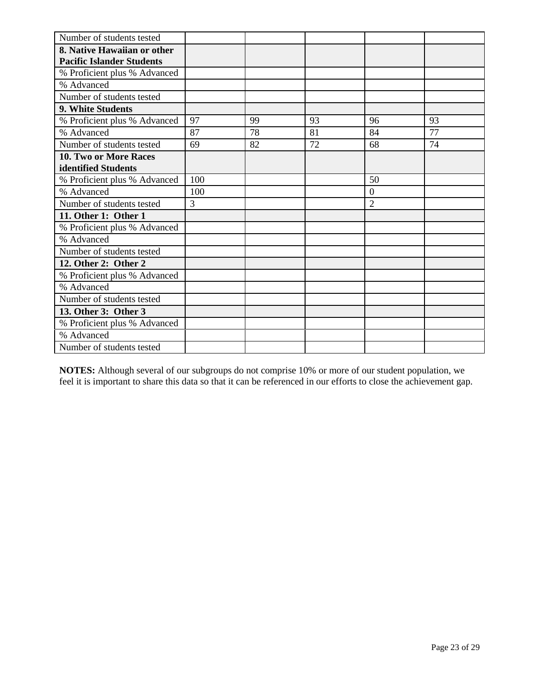| Number of students tested        |                |    |    |                |    |
|----------------------------------|----------------|----|----|----------------|----|
| 8. Native Hawaiian or other      |                |    |    |                |    |
| <b>Pacific Islander Students</b> |                |    |    |                |    |
| % Proficient plus % Advanced     |                |    |    |                |    |
| % Advanced                       |                |    |    |                |    |
| Number of students tested        |                |    |    |                |    |
| 9. White Students                |                |    |    |                |    |
| % Proficient plus % Advanced     | 97             | 99 | 93 | 96             | 93 |
| % Advanced                       | 87             | 78 | 81 | 84             | 77 |
| Number of students tested        | 69             | 82 | 72 | 68             | 74 |
| 10. Two or More Races            |                |    |    |                |    |
| identified Students              |                |    |    |                |    |
| % Proficient plus % Advanced     | 100            |    |    | 50             |    |
| % Advanced                       | 100            |    |    | $\Omega$       |    |
| Number of students tested        | $\overline{3}$ |    |    | $\overline{2}$ |    |
| 11. Other 1: Other 1             |                |    |    |                |    |
| % Proficient plus % Advanced     |                |    |    |                |    |
| % Advanced                       |                |    |    |                |    |
| Number of students tested        |                |    |    |                |    |
| 12. Other 2: Other 2             |                |    |    |                |    |
| % Proficient plus % Advanced     |                |    |    |                |    |
| % Advanced                       |                |    |    |                |    |
| Number of students tested        |                |    |    |                |    |
| 13. Other 3: Other 3             |                |    |    |                |    |
| % Proficient plus % Advanced     |                |    |    |                |    |
| % Advanced                       |                |    |    |                |    |
| Number of students tested        |                |    |    |                |    |

**NOTES:** Although several of our subgroups do not comprise 10% or more of our student population, we feel it is important to share this data so that it can be referenced in our efforts to close the achievement gap.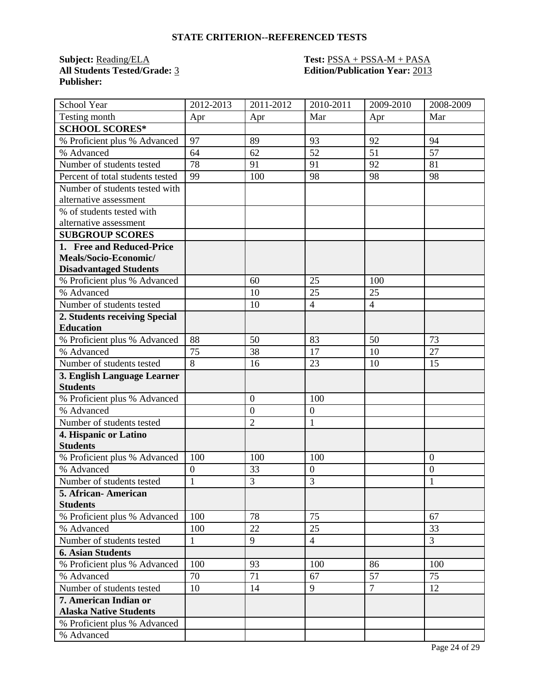**Subject:** <u>Reading/ELA</u> **Test: PSSA + PSSA-M + PASA**<br>**All Students Tested/Grade:** 3 **Edition/Publication Year:** 2013 **Publisher:** 

# **All Students Tested/Grade:** 3 **Edition/Publication Year:** 2013

| School Year                      | 2012-2013        | 2011-2012        | 2010-2011        | 2009-2010      | 2008-2009      |
|----------------------------------|------------------|------------------|------------------|----------------|----------------|
| Testing month                    | Apr              | Apr              | Mar              | Apr            | Mar            |
| <b>SCHOOL SCORES*</b>            |                  |                  |                  |                |                |
| % Proficient plus % Advanced     | 97               | 89               | 93               | 92             | 94             |
| % Advanced                       | 64               | 62               | 52               | 51             | 57             |
| Number of students tested        | 78               | 91               | 91               | 92             | 81             |
| Percent of total students tested | 99               | 100              | 98               | 98             | 98             |
| Number of students tested with   |                  |                  |                  |                |                |
| alternative assessment           |                  |                  |                  |                |                |
| % of students tested with        |                  |                  |                  |                |                |
| alternative assessment           |                  |                  |                  |                |                |
| <b>SUBGROUP SCORES</b>           |                  |                  |                  |                |                |
| 1. Free and Reduced-Price        |                  |                  |                  |                |                |
| Meals/Socio-Economic/            |                  |                  |                  |                |                |
| <b>Disadvantaged Students</b>    |                  |                  |                  |                |                |
| % Proficient plus % Advanced     |                  | 60               | 25               | 100            |                |
| % Advanced                       |                  | 10               | 25               | 25             |                |
| Number of students tested        |                  | 10               | $\overline{4}$   | $\overline{4}$ |                |
| 2. Students receiving Special    |                  |                  |                  |                |                |
| <b>Education</b>                 |                  |                  |                  |                |                |
| % Proficient plus % Advanced     | 88               | 50               | 83               | 50             | 73             |
| % Advanced                       | 75               | 38               | 17               | 10             | 27             |
| Number of students tested        | 8                | 16               | 23               | 10             | 15             |
| 3. English Language Learner      |                  |                  |                  |                |                |
| <b>Students</b>                  |                  |                  |                  |                |                |
| % Proficient plus % Advanced     |                  | $\boldsymbol{0}$ | 100              |                |                |
| % Advanced                       |                  | $\boldsymbol{0}$ | $\overline{0}$   |                |                |
| Number of students tested        |                  | $\overline{2}$   | $\mathbf{1}$     |                |                |
| 4. Hispanic or Latino            |                  |                  |                  |                |                |
| <b>Students</b>                  |                  |                  |                  |                |                |
| % Proficient plus % Advanced     | 100              | 100              | 100              |                | $\mathbf{0}$   |
| % Advanced                       | $\boldsymbol{0}$ | 33               | $\boldsymbol{0}$ |                | $\overline{0}$ |
| Number of students tested        | $\mathbf{1}$     | 3                | 3                |                | 1              |
| 5. African-American              |                  |                  |                  |                |                |
| <b>Students</b>                  |                  |                  |                  |                |                |
| % Proficient plus % Advanced     | 100              | 78               | 75               |                | 67             |
| % Advanced                       | 100              | 22               | 25               |                | 33             |
| Number of students tested        | $\mathbf{1}$     | 9                | $\overline{4}$   |                | $\overline{3}$ |
| <b>6. Asian Students</b>         |                  |                  |                  |                |                |
| % Proficient plus % Advanced     | 100              | 93               | 100              | 86             | 100            |
| % Advanced                       | 70               | 71               | 67               | 57             | 75             |
| Number of students tested        | 10               | 14               | 9                | $\overline{7}$ | 12             |
| 7. American Indian or            |                  |                  |                  |                |                |
| <b>Alaska Native Students</b>    |                  |                  |                  |                |                |
| % Proficient plus % Advanced     |                  |                  |                  |                |                |
| % Advanced                       |                  |                  |                  |                |                |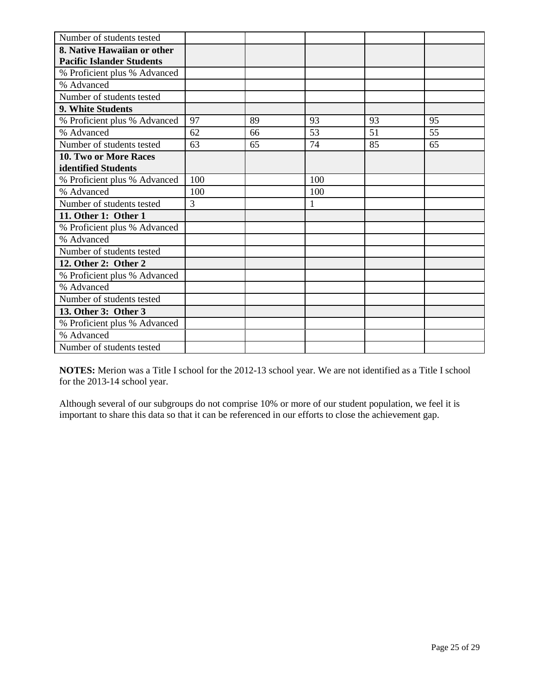| Number of students tested        |     |    |              |    |    |
|----------------------------------|-----|----|--------------|----|----|
| 8. Native Hawaiian or other      |     |    |              |    |    |
| <b>Pacific Islander Students</b> |     |    |              |    |    |
| % Proficient plus % Advanced     |     |    |              |    |    |
| % Advanced                       |     |    |              |    |    |
| Number of students tested        |     |    |              |    |    |
| 9. White Students                |     |    |              |    |    |
| % Proficient plus % Advanced     | 97  | 89 | 93           | 93 | 95 |
| % Advanced                       | 62  | 66 | 53           | 51 | 55 |
| Number of students tested        | 63  | 65 | 74           | 85 | 65 |
| 10. Two or More Races            |     |    |              |    |    |
| identified Students              |     |    |              |    |    |
| % Proficient plus % Advanced     | 100 |    | 100          |    |    |
| % Advanced                       | 100 |    | 100          |    |    |
| Number of students tested        | 3   |    | $\mathbf{1}$ |    |    |
| 11. Other 1: Other 1             |     |    |              |    |    |
| % Proficient plus % Advanced     |     |    |              |    |    |
| % Advanced                       |     |    |              |    |    |
| Number of students tested        |     |    |              |    |    |
| 12. Other 2: Other 2             |     |    |              |    |    |
| % Proficient plus % Advanced     |     |    |              |    |    |
| % Advanced                       |     |    |              |    |    |
| Number of students tested        |     |    |              |    |    |
| 13. Other 3: Other 3             |     |    |              |    |    |
| % Proficient plus % Advanced     |     |    |              |    |    |
| % Advanced                       |     |    |              |    |    |
| Number of students tested        |     |    |              |    |    |

**NOTES:** Merion was a Title I school for the 2012-13 school year. We are not identified as a Title I school for the 2013-14 school year.

Although several of our subgroups do not comprise 10% or more of our student population, we feel it is important to share this data so that it can be referenced in our efforts to close the achievement gap.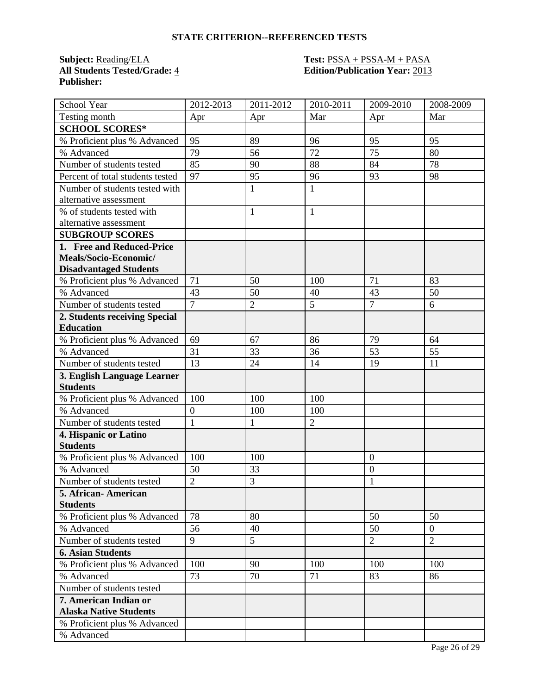**Subject:** <u>Reading/ELA</u> **Test: PSSA + PSSA-M + PASA**<br>**All Students Tested/Grade:** 4 **Edition/Publication Year:** 2013 **Publisher:** 

# **All Students Tested/Grade:** 4 **Edition/Publication Year:** 2013

| <b>School Year</b>               | 2012-2013        | 2011-2012      | 2010-2011      | 2009-2010        | 2008-2009       |
|----------------------------------|------------------|----------------|----------------|------------------|-----------------|
| Testing month                    | Apr              | Apr            | Mar            | Apr              | Mar             |
| <b>SCHOOL SCORES*</b>            |                  |                |                |                  |                 |
| % Proficient plus % Advanced     | 95               | 89             | 96             | 95               | 95              |
| % Advanced                       | 79               | 56             | 72             | 75               | 80              |
| Number of students tested        | 85               | 90             | 88             | 84               | 78              |
| Percent of total students tested | 97               | 95             | 96             | 93               | 98              |
| Number of students tested with   |                  | $\mathbf{1}$   | $\mathbf{1}$   |                  |                 |
| alternative assessment           |                  |                |                |                  |                 |
| % of students tested with        |                  | 1              | $\mathbf{1}$   |                  |                 |
| alternative assessment           |                  |                |                |                  |                 |
| <b>SUBGROUP SCORES</b>           |                  |                |                |                  |                 |
| 1. Free and Reduced-Price        |                  |                |                |                  |                 |
| Meals/Socio-Economic/            |                  |                |                |                  |                 |
| <b>Disadvantaged Students</b>    |                  |                |                |                  |                 |
| % Proficient plus % Advanced     | 71               | 50             | 100            | 71               | 83              |
| % Advanced                       | 43               | 50             | 40             | 43               | 50              |
| Number of students tested        | $\overline{7}$   | $\overline{2}$ | 5              | $\overline{7}$   | 6               |
| 2. Students receiving Special    |                  |                |                |                  |                 |
| <b>Education</b>                 |                  |                |                |                  |                 |
| % Proficient plus % Advanced     | 69               | 67             | 86             | 79               | 64              |
| % Advanced                       | 31               | 33             | 36             | $\overline{53}$  | $\overline{55}$ |
| Number of students tested        | 13               | 24             | 14             | 19               | 11              |
| 3. English Language Learner      |                  |                |                |                  |                 |
| <b>Students</b>                  |                  |                |                |                  |                 |
| % Proficient plus % Advanced     | 100              | 100            | 100            |                  |                 |
| % Advanced                       | $\boldsymbol{0}$ | 100            | 100            |                  |                 |
| Number of students tested        | $\mathbf{1}$     | 1              | $\overline{2}$ |                  |                 |
| 4. Hispanic or Latino            |                  |                |                |                  |                 |
| <b>Students</b>                  |                  |                |                |                  |                 |
| % Proficient plus % Advanced     | 100              | 100            |                | $\overline{0}$   |                 |
| % Advanced                       | 50               | 33             |                | $\boldsymbol{0}$ |                 |
| Number of students tested        | $\overline{2}$   | 3              |                | $\mathbf{1}$     |                 |
| 5. African- American             |                  |                |                |                  |                 |
| <b>Students</b>                  |                  |                |                |                  |                 |
| % Proficient plus % Advanced     | 78               | 80             |                | 50               | 50              |
| % Advanced                       | 56               | 40             |                | 50               | $\overline{0}$  |
| Number of students tested        | 9                | 5              |                | $\overline{2}$   | $\overline{2}$  |
| <b>6. Asian Students</b>         |                  |                |                |                  |                 |
| % Proficient plus % Advanced     | 100              | 90             | 100            | 100              | 100             |
| % Advanced                       | 73               | 70             | 71             | 83               | 86              |
| Number of students tested        |                  |                |                |                  |                 |
| 7. American Indian or            |                  |                |                |                  |                 |
| <b>Alaska Native Students</b>    |                  |                |                |                  |                 |
| % Proficient plus % Advanced     |                  |                |                |                  |                 |
| % Advanced                       |                  |                |                |                  |                 |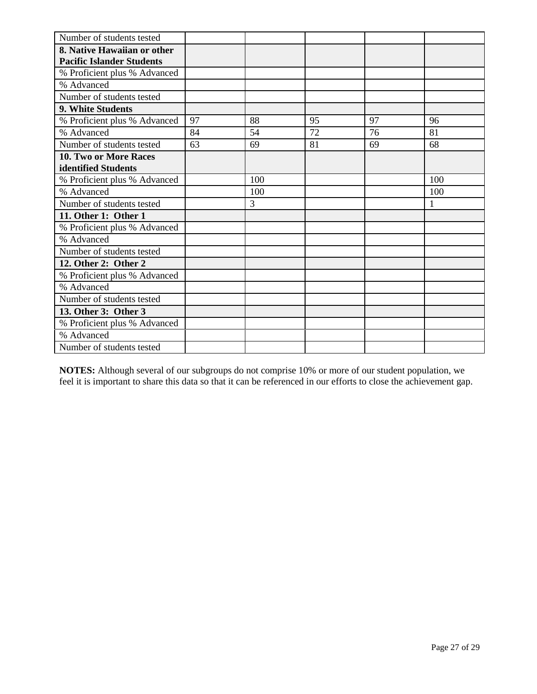| Number of students tested        |    |     |    |    |     |
|----------------------------------|----|-----|----|----|-----|
| 8. Native Hawaiian or other      |    |     |    |    |     |
| <b>Pacific Islander Students</b> |    |     |    |    |     |
| % Proficient plus % Advanced     |    |     |    |    |     |
| % Advanced                       |    |     |    |    |     |
| Number of students tested        |    |     |    |    |     |
| 9. White Students                |    |     |    |    |     |
| % Proficient plus % Advanced     | 97 | 88  | 95 | 97 | 96  |
| % Advanced                       | 84 | 54  | 72 | 76 | 81  |
| Number of students tested        | 63 | 69  | 81 | 69 | 68  |
| 10. Two or More Races            |    |     |    |    |     |
| identified Students              |    |     |    |    |     |
| % Proficient plus % Advanced     |    | 100 |    |    | 100 |
| % Advanced                       |    | 100 |    |    | 100 |
| Number of students tested        |    | 3   |    |    | 1   |
| 11. Other 1: Other 1             |    |     |    |    |     |
| % Proficient plus % Advanced     |    |     |    |    |     |
| % Advanced                       |    |     |    |    |     |
| Number of students tested        |    |     |    |    |     |
| 12. Other 2: Other 2             |    |     |    |    |     |
| % Proficient plus % Advanced     |    |     |    |    |     |
| % Advanced                       |    |     |    |    |     |
| Number of students tested        |    |     |    |    |     |
| 13. Other 3: Other 3             |    |     |    |    |     |
| % Proficient plus % Advanced     |    |     |    |    |     |
| % Advanced                       |    |     |    |    |     |
| Number of students tested        |    |     |    |    |     |

**NOTES:** Although several of our subgroups do not comprise 10% or more of our student population, we feel it is important to share this data so that it can be referenced in our efforts to close the achievement gap.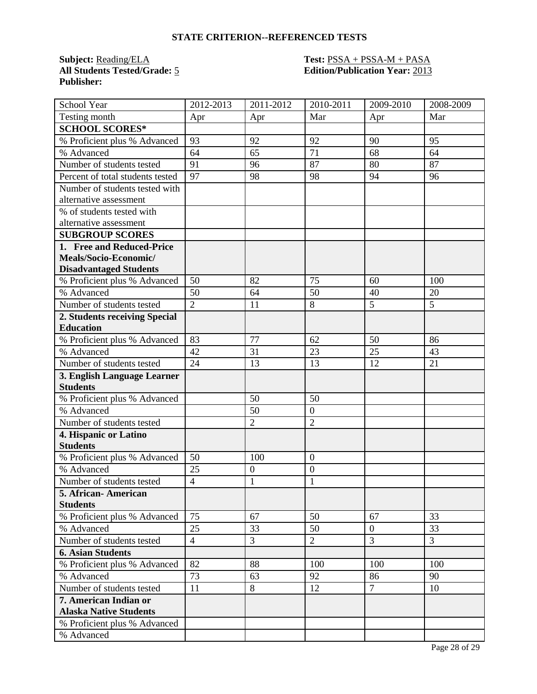**Subject:** <u>Reading/ELA</u> **Test: PSSA + PSSA-M + PASA**<br>**All Students Tested/Grade:** 5 **Containst Edition/Publication Year:** 2013 **Publisher:** 

# **All Students Tested/Grade:** 5 **Edition/Publication Year:** 2013

| School Year                      | 2012-2013      | 2011-2012        | 2010-2011        | 2009-2010      | 2008-2009      |
|----------------------------------|----------------|------------------|------------------|----------------|----------------|
| Testing month                    | Apr            | Apr              | Mar              | Apr            | Mar            |
| <b>SCHOOL SCORES*</b>            |                |                  |                  |                |                |
| % Proficient plus % Advanced     | 93             | 92               | 92               | 90             | 95             |
| % Advanced                       | 64             | 65               | 71               | 68             | 64             |
| Number of students tested        | 91             | 96               | 87               | 80             | 87             |
| Percent of total students tested | 97             | 98               | 98               | 94             | 96             |
| Number of students tested with   |                |                  |                  |                |                |
| alternative assessment           |                |                  |                  |                |                |
| % of students tested with        |                |                  |                  |                |                |
| alternative assessment           |                |                  |                  |                |                |
| <b>SUBGROUP SCORES</b>           |                |                  |                  |                |                |
| 1. Free and Reduced-Price        |                |                  |                  |                |                |
| Meals/Socio-Economic/            |                |                  |                  |                |                |
| <b>Disadvantaged Students</b>    |                |                  |                  |                |                |
| % Proficient plus % Advanced     | 50             | 82               | 75               | 60             | 100            |
| % Advanced                       | 50             | 64               | 50               | 40             | 20             |
| Number of students tested        | $\overline{2}$ | 11               | 8                | 5              | 5              |
| 2. Students receiving Special    |                |                  |                  |                |                |
| <b>Education</b>                 |                |                  |                  |                |                |
| % Proficient plus % Advanced     | 83             | 77               | 62               | 50             | 86             |
| % Advanced                       | 42             | 31               | 23               | 25             | 43             |
| Number of students tested        | 24             | 13               | 13               | 12             | 21             |
| 3. English Language Learner      |                |                  |                  |                |                |
| <b>Students</b>                  |                |                  |                  |                |                |
| % Proficient plus % Advanced     |                | 50               | 50               |                |                |
| % Advanced                       |                | 50               | $\mathbf{0}$     |                |                |
| Number of students tested        |                | $\overline{2}$   | $\overline{2}$   |                |                |
| 4. Hispanic or Latino            |                |                  |                  |                |                |
| <b>Students</b>                  |                |                  |                  |                |                |
| % Proficient plus % Advanced     | 50             | 100              | $\boldsymbol{0}$ |                |                |
| % Advanced                       | 25             | $\boldsymbol{0}$ | $\overline{0}$   |                |                |
| Number of students tested        | $\overline{4}$ | $\mathbf{1}$     | $\mathbf{1}$     |                |                |
| 5. African-American              |                |                  |                  |                |                |
| <b>Students</b>                  |                |                  |                  |                |                |
| % Proficient plus % Advanced     | 75             | 67               | 50               | 67             | 33             |
| % Advanced                       | 25             | 33               | 50               | $\overline{0}$ | 33             |
| Number of students tested        | $\overline{4}$ | 3                | $\overline{2}$   | $\overline{3}$ | $\overline{3}$ |
| <b>6. Asian Students</b>         |                |                  |                  |                |                |
| % Proficient plus % Advanced     | 82             | 88               | 100              | 100            | 100            |
| % Advanced                       | 73             | 63               | 92               | 86             | 90             |
| Number of students tested        | 11             | 8                | 12               | $\overline{7}$ | 10             |
| 7. American Indian or            |                |                  |                  |                |                |
| <b>Alaska Native Students</b>    |                |                  |                  |                |                |
| % Proficient plus % Advanced     |                |                  |                  |                |                |
| % Advanced                       |                |                  |                  |                |                |